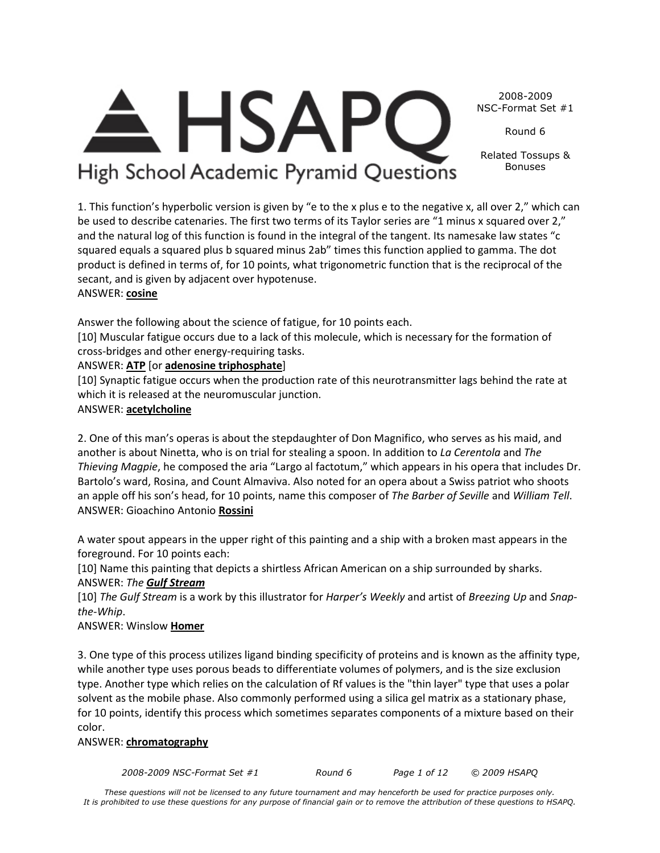*2008-2009 NSC-Format Set #1 Round 6 Page 1 of 12 © 2009 HSAPQ* 

*These questions will not be licensed to any future tournament and may henceforth be used for practice purposes only. It is prohibited to use these questions for any purpose of financial gain or to remove the attribution of these questions to HSAPQ.*

#### 2008-2009 NSC-Format Set #1

Round 6

Related Tossups & Bonuses

High School Academic Pyramid Questions

**HSAP** 

1. This function's hyperbolic version is given by "e to the x plus e to the negative x, all over 2," which can be used to describe catenaries. The first two terms of its Taylor series are "1 minus x squared over 2," and the natural log of this function is found in the integral of the tangent. Its namesake law states "c squared equals a squared plus b squared minus 2ab" times this function applied to gamma. The dot product is defined in terms of, for 10 points, what trigonometric function that is the reciprocal of the secant, and is given by adjacent over hypotenuse.

# ANSWER: **cosine**

Answer the following about the science of fatigue, for 10 points each.

[10] Muscular fatigue occurs due to a lack of this molecule, which is necessary for the formation of cross-bridges and other energy-requiring tasks.

## ANSWER: **ATP** [or **adenosine triphosphate**]

[10] Synaptic fatigue occurs when the production rate of this neurotransmitter lags behind the rate at which it is released at the neuromuscular junction.

# ANSWER: **acetylcholine**

2. One of this man's operas is about the stepdaughter of Don Magnifico, who serves as his maid, and another is about Ninetta, who is on trial for stealing a spoon. In addition to *La Cerentola* and *The Thieving Magpie*, he composed the aria "Largo al factotum," which appears in his opera that includes Dr. Bartolo's ward, Rosina, and Count Almaviva. Also noted for an opera about a Swiss patriot who shoots an apple off his son's head, for 10 points, name this composer of *The Barber of Seville* and *William Tell*. ANSWER: Gioachino Antonio **Rossini**

A water spout appears in the upper right of this painting and a ship with a broken mast appears in the foreground. For 10 points each:

[10] Name this painting that depicts a shirtless African American on a ship surrounded by sharks. ANSWER: *The Gulf Stream*

[10] *The Gulf Stream* is a work by this illustrator for *Harper's Weekly* and artist of *Breezing Up* and *Snapthe-Whip*.

# ANSWER: Winslow **Homer**

3. One type of this process utilizes ligand binding specificity of proteins and is known as the affinity type, while another type uses porous beads to differentiate volumes of polymers, and is the size exclusion type. Another type which relies on the calculation of Rf values is the "thin layer" type that uses a polar solvent as the mobile phase. Also commonly performed using a silica gel matrix as a stationary phase, for 10 points, identify this process which sometimes separates components of a mixture based on their color.

#### ANSWER: **chromatography**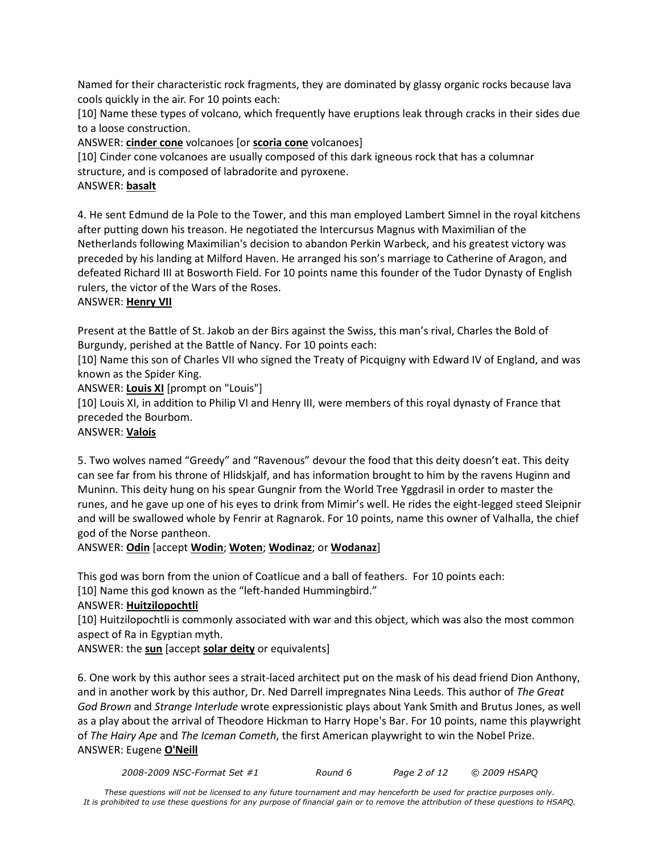Named for their characteristic rock fragments, they are dominated by glassy organic rocks because lava cools quickly in the air. For 10 points each:

[10] Name these types of volcano, which frequently have eruptions leak through cracks in their sides due to a loose construction.

ANSWER: **cinder cone** volcanoes [or **scoria cone** volcanoes]

[10] Cinder cone volcanoes are usually composed of this dark igneous rock that has a columnar structure, and is composed of labradorite and pyroxene.

#### ANSWER: **basalt**

4. He sent Edmund de la Pole to the Tower, and this man employed Lambert Simnel in the royal kitchens after putting down his treason. He negotiated the Intercursus Magnus with Maximilian of the Netherlands following Maximilian's decision to abandon Perkin Warbeck, and his greatest victory was preceded by his landing at Milford Haven. He arranged his son's marriage to Catherine of Aragon, and defeated Richard III at Bosworth Field. For 10 points name this founder of the Tudor Dynasty of English rulers, the victor of the Wars of the Roses.

#### ANSWER: **Henry VII**

Present at the Battle of St. Jakob an der Birs against the Swiss, this man's rival, Charles the Bold of Burgundy, perished at the Battle of Nancy. For 10 points each:

[10] Name this son of Charles VII who signed the Treaty of Picquigny with Edward IV of England, and was known as the Spider King.

ANSWER: **Louis XI** [prompt on "Louis"]

[10] Louis XI, in addition to Philip VI and Henry III, were members of this royal dynasty of France that preceded the Bourbom.

#### ANSWER: **Valois**

5. Two wolves named "Greedy" and "Ravenous" devour the food that this deity doesn't eat. This deity can see far from his throne of Hlidskjalf, and has information brought to him by the ravens Huginn and Muninn. This deity hung on his spear Gungnir from the World Tree Yggdrasil in order to master the runes, and he gave up one of his eyes to drink from Mimir's well. He rides the eight-legged steed Sleipnir and will be swallowed whole by Fenrir at Ragnarok. For 10 points, name this owner of Valhalla, the chief god of the Norse pantheon.

ANSWER: **Odin** [accept **Wodin**; **Woten**; **Wodinaz**; or **Wodanaz**]

This god was born from the union of Coatlicue and a ball of feathers. For 10 points each:

[10] Name this god known as the "left-handed Hummingbird."

## ANSWER: **Huitzilopochtli**

[10] Huitzilopochtli is commonly associated with war and this object, which was also the most common aspect of Ra in Egyptian myth.

ANSWER: the **sun** [accept **solar deity** or equivalents]

6. One work by this author sees a strait-laced architect put on the mask of his dead friend Dion Anthony, and in another work by this author, Dr. Ned Darrell impregnates Nina Leeds. This author of *The Great God Brown* and *Strange Interlude* wrote expressionistic plays about Yank Smith and Brutus Jones, as well as a play about the arrival of Theodore Hickman to Harry Hope's Bar. For 10 points, name this playwright of *The Hairy Ape* and *The Iceman Cometh*, the first American playwright to win the Nobel Prize. ANSWER: Eugene **O'Neill**

*2008-2009 NSC-Format Set #1 Round 6 Page 2 of 12 © 2009 HSAPQ*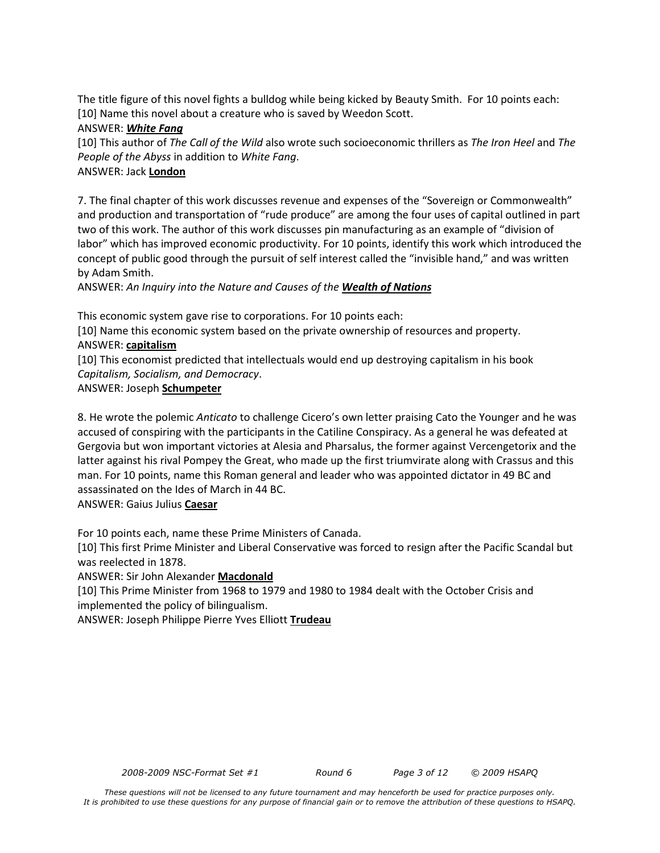The title figure of this novel fights a bulldog while being kicked by Beauty Smith. For 10 points each: [10] Name this novel about a creature who is saved by Weedon Scott.

#### ANSWER: *White Fang*

[10] This author of *The Call of the Wild* also wrote such socioeconomic thrillers as *The Iron Heel* and *The People of the Abyss* in addition to *White Fang*.

## ANSWER: Jack **London**

7. The final chapter of this work discusses revenue and expenses of the "Sovereign or Commonwealth" and production and transportation of "rude produce" are among the four uses of capital outlined in part two of this work. The author of this work discusses pin manufacturing as an example of "division of labor" which has improved economic productivity. For 10 points, identify this work which introduced the concept of public good through the pursuit of self interest called the "invisible hand," and was written by Adam Smith.

ANSWER: *An Inquiry into the Nature and Causes of the Wealth of Nations*

This economic system gave rise to corporations. For 10 points each:

[10] Name this economic system based on the private ownership of resources and property. ANSWER: **capitalism**

[10] This economist predicted that intellectuals would end up destroying capitalism in his book *Capitalism, Socialism, and Democracy*.

ANSWER: Joseph **Schumpeter**

8. He wrote the polemic *Anticato* to challenge Cicero's own letter praising Cato the Younger and he was accused of conspiring with the participants in the Catiline Conspiracy. As a general he was defeated at Gergovia but won important victories at Alesia and Pharsalus, the former against Vercengetorix and the latter against his rival Pompey the Great, who made up the first triumvirate along with Crassus and this man. For 10 points, name this Roman general and leader who was appointed dictator in 49 BC and assassinated on the Ides of March in 44 BC.

ANSWER: Gaius Julius **Caesar**

For 10 points each, name these Prime Ministers of Canada.

[10] This first Prime Minister and Liberal Conservative was forced to resign after the Pacific Scandal but was reelected in 1878.

ANSWER: Sir John Alexander **Macdonald**

[10] This Prime Minister from 1968 to 1979 and 1980 to 1984 dealt with the October Crisis and implemented the policy of bilingualism.

ANSWER: Joseph Philippe Pierre Yves Elliott **Trudeau**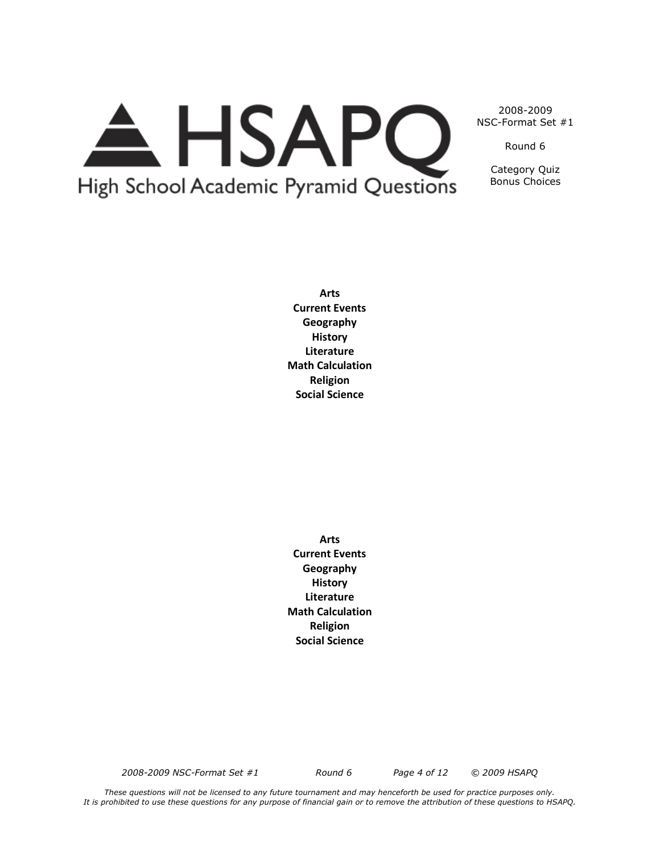# A HSAPQ High School Academic Pyramid Questions

2008-2009 NSC-Format Set #1

Round 6

Category Quiz Bonus Choices

**Arts Current Events Geography History Literature Math Calculation Religion Social Science**

**Arts Current Events Geography History Literature Math Calculation Religion Social Science**

*2008-2009 NSC-Format Set #1 Round 6 Page 4 of 12 © 2009 HSAPQ*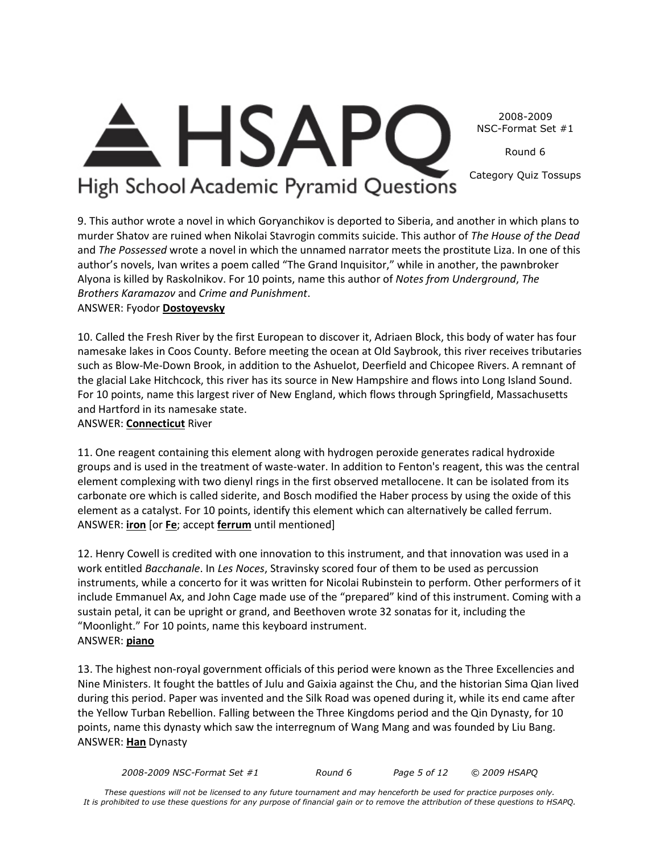2008-2009 NSC-Format Set #1

Round 6

High School Academic Pyramid Questions

<del>A</del> HSAPC

Category Quiz Tossups

9. This author wrote a novel in which Goryanchikov is deported to Siberia, and another in which plans to murder Shatov are ruined when Nikolai Stavrogin commits suicide. This author of *The House of the Dead*  and *The Possessed* wrote a novel in which the unnamed narrator meets the prostitute Liza. In one of this author's novels, Ivan writes a poem called "The Grand Inquisitor," while in another, the pawnbroker Alyona is killed by Raskolnikov. For 10 points, name this author of *Notes from Underground*, *The Brothers Karamazov* and *Crime and Punishment*.

ANSWER: Fyodor **Dostoyevsky**

10. Called the Fresh River by the first European to discover it, Adriaen Block, this body of water has four namesake lakes in Coos County. Before meeting the ocean at Old Saybrook, this river receives tributaries such as Blow-Me-Down Brook, in addition to the Ashuelot, Deerfield and Chicopee Rivers. A remnant of the glacial Lake Hitchcock, this river has its source in New Hampshire and flows into Long Island Sound. For 10 points, name this largest river of New England, which flows through Springfield, Massachusetts and Hartford in its namesake state.

ANSWER: **Connecticut** River

11. One reagent containing this element along with hydrogen peroxide generates radical hydroxide groups and is used in the treatment of waste-water. In addition to Fenton's reagent, this was the central element complexing with two dienyl rings in the first observed metallocene. It can be isolated from its carbonate ore which is called siderite, and Bosch modified the Haber process by using the oxide of this element as a catalyst. For 10 points, identify this element which can alternatively be called ferrum. ANSWER: **iron** [or **Fe**; accept **ferrum** until mentioned]

12. Henry Cowell is credited with one innovation to this instrument, and that innovation was used in a work entitled *Bacchanale*. In *Les Noces*, Stravinsky scored four of them to be used as percussion instruments, while a concerto for it was written for Nicolai Rubinstein to perform. Other performers of it include Emmanuel Ax, and John Cage made use of the "prepared" kind of this instrument. Coming with a sustain petal, it can be upright or grand, and Beethoven wrote 32 sonatas for it, including the "Moonlight." For 10 points, name this keyboard instrument. ANSWER: **piano**

13. The highest non-royal government officials of this period were known as the Three Excellencies and Nine Ministers. It fought the battles of Julu and Gaixia against the Chu, and the historian Sima Qian lived during this period. Paper was invented and the Silk Road was opened during it, while its end came after the Yellow Turban Rebellion. Falling between the Three Kingdoms period and the Qin Dynasty, for 10 points, name this dynasty which saw the interregnum of Wang Mang and was founded by Liu Bang. ANSWER: **Han** Dynasty

*2008-2009 NSC-Format Set #1 Round 6 Page 5 of 12 © 2009 HSAPQ*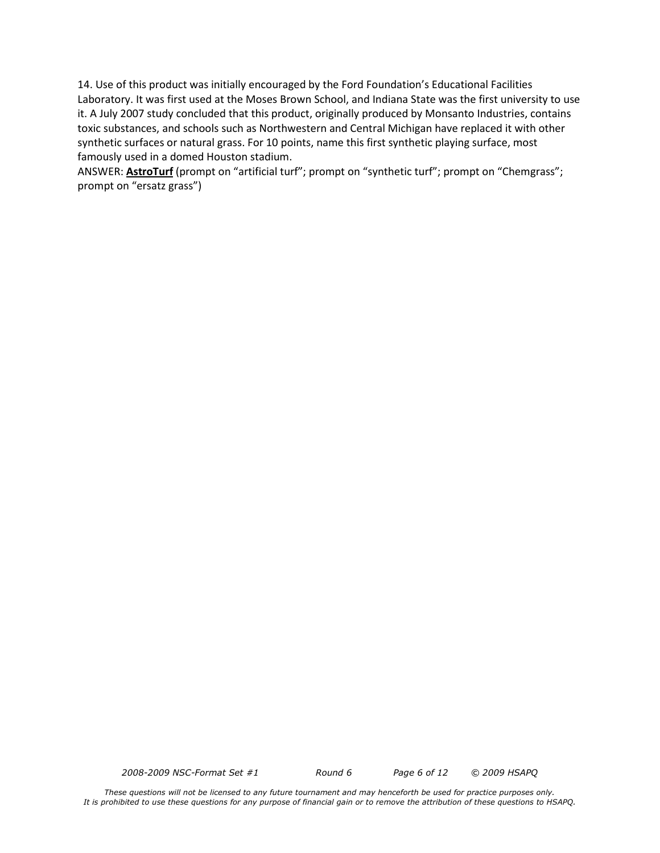14. Use of this product was initially encouraged by the Ford Foundation's Educational Facilities Laboratory. It was first used at the Moses Brown School, and Indiana State was the first university to use it. A July 2007 study concluded that this product, originally produced by Monsanto Industries, contains toxic substances, and schools such as Northwestern and Central Michigan have replaced it with other synthetic surfaces or natural grass. For 10 points, name this first synthetic playing surface, most famously used in a domed Houston stadium.

ANSWER: **AstroTurf** (prompt on "artificial turf"; prompt on "synthetic turf"; prompt on "Chemgrass"; prompt on "ersatz grass")

*2008-2009 NSC-Format Set #1 Round 6 Page 6 of 12 © 2009 HSAPQ*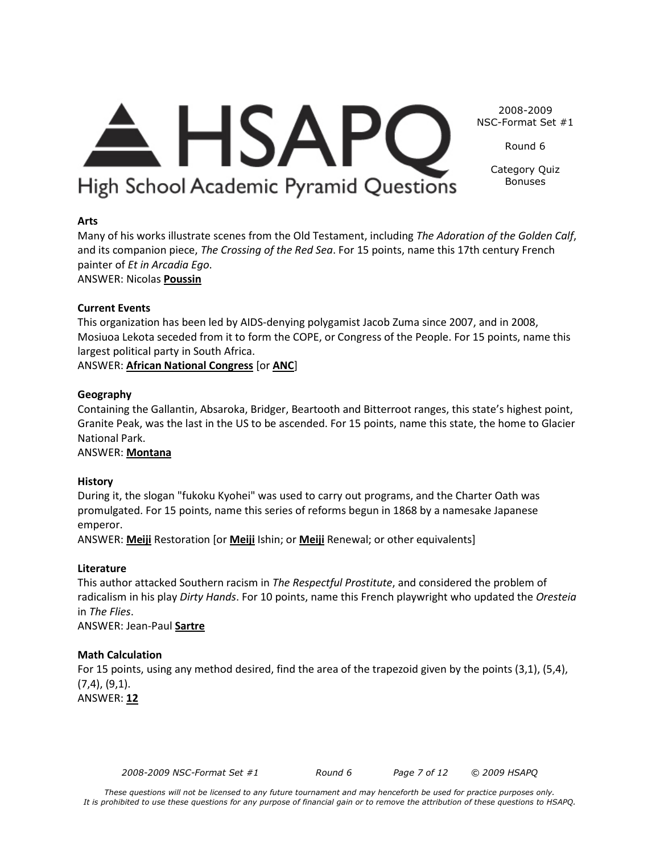# **History** During it, the slogan "fukoku Kyohei" was used to carry out programs, and the Charter Oath was promulgated. For 15 points, name this series of reforms begun in 1868 by a namesake Japanese

Many of his works illustrate scenes from the Old Testament, including *The Adoration of the Golden Calf*, and its companion piece, *The Crossing of the Red Sea*. For 15 points, name this 17th century French

This organization has been led by AIDS-denying polygamist Jacob Zuma since 2007, and in 2008,

Mosiuoa Lekota seceded from it to form the COPE, or Congress of the People. For 15 points, name this

Containing the Gallantin, Absaroka, Bridger, Beartooth and Bitterroot ranges, this state's highest point, Granite Peak, was the last in the US to be ascended. For 15 points, name this state, the home to Glacier

emperor. ANSWER: **Meiji** Restoration [or **Meiji** Ishin; or **Meiji** Renewal; or other equivalents]

# **Literature**

**Arts**

painter of *Et in Arcadia Ego*. ANSWER: Nicolas **Poussin**

largest political party in South Africa.

ANSWER: **African National Congress** [or **ANC**]

**Current Events** 

**Geography** 

National Park. ANSWER: **Montana**

This author attacked Southern racism in *The Respectful Prostitute*, and considered the problem of radicalism in his play *Dirty Hands*. For 10 points, name this French playwright who updated the *Oresteia* in *The Flies*.

ANSWER: Jean-Paul **Sartre**

# **Math Calculation**

For 15 points, using any method desired, find the area of the trapezoid given by the points (3,1), (5,4), (7,4), (9,1).

ANSWER: **12**

*2008-2009 NSC-Format Set #1 Round 6 Page 7 of 12 © 2009 HSAPQ* 

2008-2009 NSC-Format Set #1

Round 6

Category Quiz Bonuses

<del>A</del> HSAPC High School Academic Pyramid Questions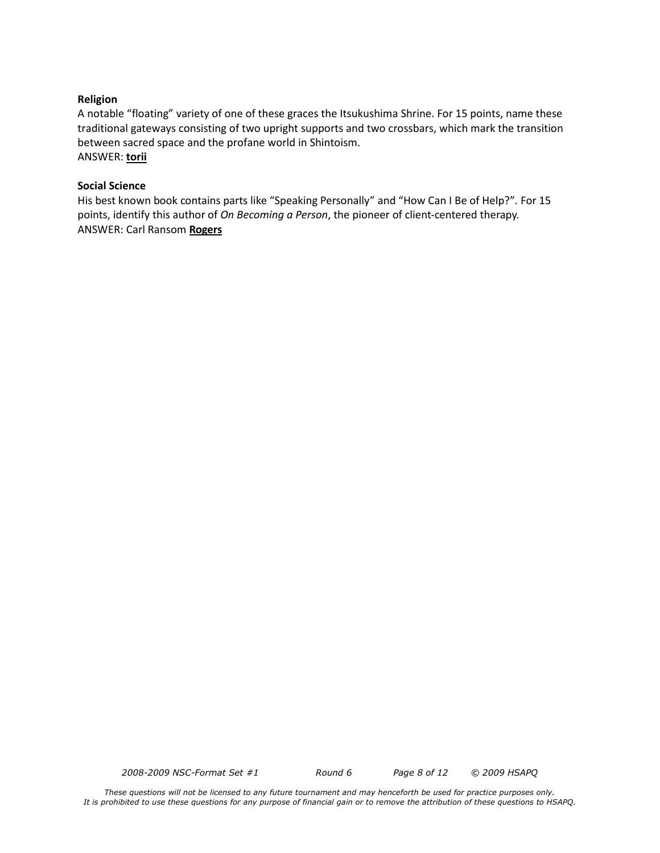#### **Religion**

A notable "floating" variety of one of these graces the Itsukushima Shrine. For 15 points, name these traditional gateways consisting of two upright supports and two crossbars, which mark the transition between sacred space and the profane world in Shintoism. ANSWER: **torii**

#### **Social Science**

His best known book contains parts like "Speaking Personally" and "How Can I Be of Help?"*.* For 15 points, identify this author of *On Becoming a Person*, the pioneer of client-centered therapy. ANSWER: Carl Ransom **Rogers**

*2008-2009 NSC-Format Set #1 Round 6 Page 8 of 12 © 2009 HSAPQ*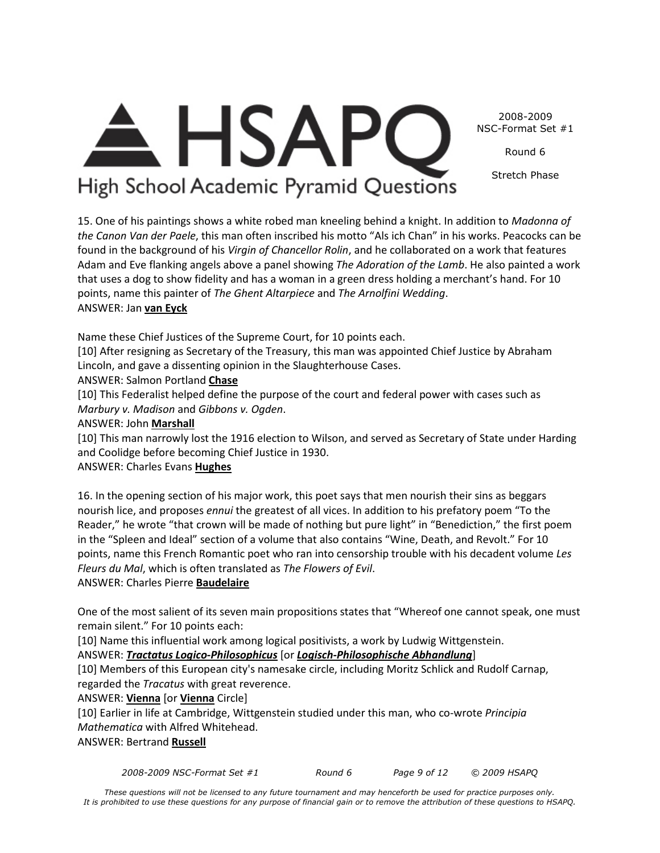2008-2009 NSC-Format Set #1

Round 6

Stretch Phase

# A HSAPC High School Academic Pyramid Questions

15. One of his paintings shows a white robed man kneeling behind a knight. In addition to *Madonna of the Canon Van der Paele*, this man often inscribed his motto "Als ich Chan" in his works. Peacocks can be found in the background of his *Virgin of Chancellor Rolin*, and he collaborated on a work that features Adam and Eve flanking angels above a panel showing *The Adoration of the Lamb*. He also painted a work that uses a dog to show fidelity and has a woman in a green dress holding a merchant's hand. For 10 points, name this painter of *The Ghent Altarpiece* and *The Arnolfini Wedding*. ANSWER: Jan **van Eyck**

Name these Chief Justices of the Supreme Court, for 10 points each.

[10] After resigning as Secretary of the Treasury, this man was appointed Chief Justice by Abraham Lincoln, and gave a dissenting opinion in the Slaughterhouse Cases.

ANSWER: Salmon Portland **Chase**

[10] This Federalist helped define the purpose of the court and federal power with cases such as *Marbury v. Madison* and *Gibbons v. Ogden*.

ANSWER: John **Marshall**

[10] This man narrowly lost the 1916 election to Wilson, and served as Secretary of State under Harding and Coolidge before becoming Chief Justice in 1930.

## ANSWER: Charles Evans **Hughes**

16. In the opening section of his major work, this poet says that men nourish their sins as beggars nourish lice, and proposes *ennui* the greatest of all vices. In addition to his prefatory poem "To the Reader," he wrote "that crown will be made of nothing but pure light" in "Benediction," the first poem in the "Spleen and Ideal" section of a volume that also contains "Wine, Death, and Revolt." For 10 points, name this French Romantic poet who ran into censorship trouble with his decadent volume *Les Fleurs du Mal*, which is often translated as *The Flowers of Evil*.

ANSWER: Charles Pierre **Baudelaire**

One of the most salient of its seven main propositions states that "Whereof one cannot speak, one must remain silent." For 10 points each:

[10] Name this influential work among logical positivists, a work by Ludwig Wittgenstein.

## ANSWER: *Tractatus Logico-Philosophicus* [or *Logisch-Philosophische Abhandlung*]

[10] Members of this European city's namesake circle, including Moritz Schlick and Rudolf Carnap, regarded the *Tracatus* with great reverence.

ANSWER: **Vienna** [or **Vienna** Circle]

[10] Earlier in life at Cambridge, Wittgenstein studied under this man, who co-wrote *Principia Mathematica* with Alfred Whitehead.

ANSWER: Bertrand **Russell**

*2008-2009 NSC-Format Set #1 Round 6 Page 9 of 12 © 2009 HSAPQ*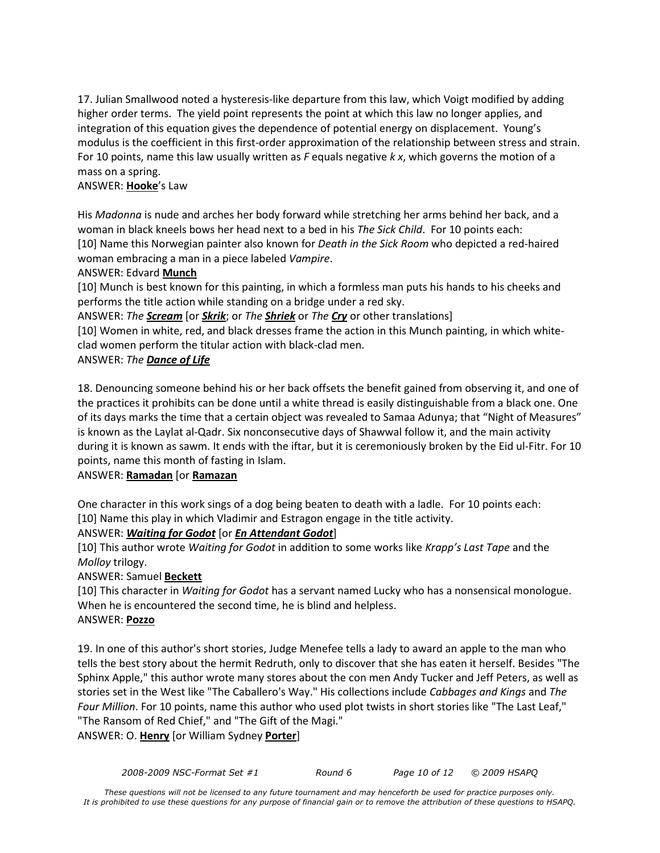17. Julian Smallwood noted a hysteresis-like departure from this law, which Voigt modified by adding higher order terms. The yield point represents the point at which this law no longer applies, and integration of this equation gives the dependence of potential energy on displacement. Young's modulus is the coefficient in this first-order approximation of the relationship between stress and strain. For 10 points, name this law usually written as *F* equals negative *k x*, which governs the motion of a mass on a spring.

#### ANSWER: **Hooke**'s Law

His *Madonna* is nude and arches her body forward while stretching her arms behind her back, and a woman in black kneels bows her head next to a bed in his *The Sick Child*. For 10 points each: [10] Name this Norwegian painter also known for *Death in the Sick Room* who depicted a red-haired woman embracing a man in a piece labeled *Vampire*.

#### ANSWER: Edvard **Munch**

[10] Munch is best known for this painting, in which a formless man puts his hands to his cheeks and performs the title action while standing on a bridge under a red sky.

ANSWER: *The Scream* [or *Skrik*; or *The Shriek* or *The Cry* or other translations]

[10] Women in white, red, and black dresses frame the action in this Munch painting, in which whiteclad women perform the titular action with black-clad men.

## ANSWER: *The Dance of Life*

18. Denouncing someone behind his or her back offsets the benefit gained from observing it, and one of the practices it prohibits can be done until a white thread is easily distinguishable from a black one. One of its days marks the time that a certain object was revealed to Samaa Adunya; that "Night of Measures" is known as the Laylat al-Qadr. Six nonconsecutive days of Shawwal follow it, and the main activity during it is known as sawm. It ends with the iftar, but it is ceremoniously broken by the Eid ul-Fitr. For 10 points, name this month of fasting in Islam.

## ANSWER: **Ramadan** [or **Ramazan**

One character in this work sings of a dog being beaten to death with a ladle. For 10 points each: [10] Name this play in which Vladimir and Estragon engage in the title activity.

## ANSWER: *Waiting for Godot* [or *En Attendant Godot*]

[10] This author wrote *Waiting for Godot* in addition to some works like *Krapp's Last Tape* and the *Molloy* trilogy.

#### ANSWER: Samuel **Beckett**

[10] This character in *Waiting for Godot* has a servant named Lucky who has a nonsensical monologue. When he is encountered the second time, he is blind and helpless. ANSWER: **Pozzo**

19. In one of this author's short stories, Judge Menefee tells a lady to award an apple to the man who tells the best story about the hermit Redruth, only to discover that she has eaten it herself. Besides "The Sphinx Apple," this author wrote many stores about the con men Andy Tucker and Jeff Peters, as well as stories set in the West like "The Caballero's Way." His collections include *Cabbages and Kings* and *The Four Million*. For 10 points, name this author who used plot twists in short stories like "The Last Leaf," "The Ransom of Red Chief," and "The Gift of the Magi." ANSWER: O. **Henry** [or William Sydney **Porter**]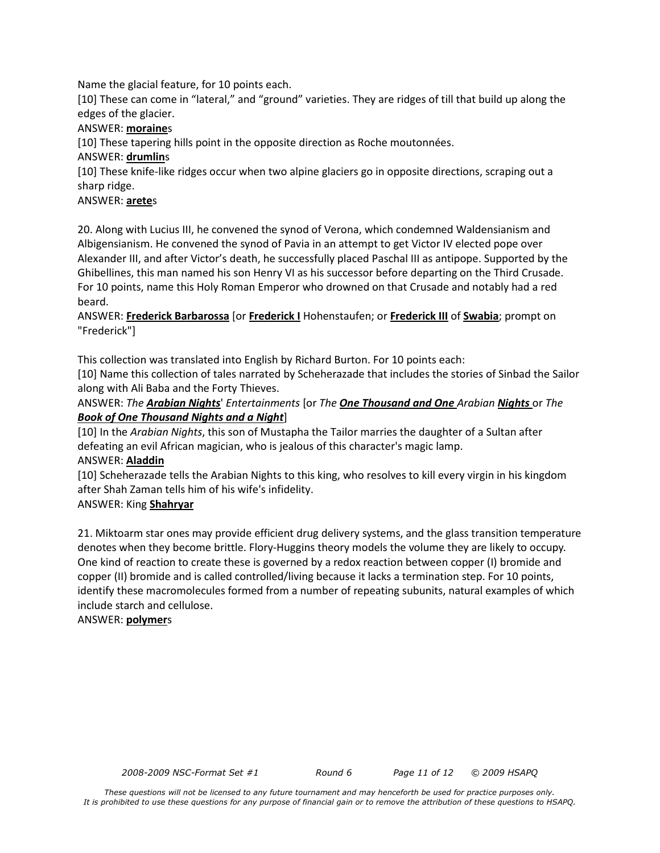Name the glacial feature, for 10 points each.

[10] These can come in "lateral," and "ground" varieties. They are ridges of till that build up along the edges of the glacier.

#### ANSWER: **moraine**s

[10] These tapering hills point in the opposite direction as Roche moutonnées.

#### ANSWER: **drumlin**s

[10] These knife-like ridges occur when two alpine glaciers go in opposite directions, scraping out a sharp ridge.

#### ANSWER: **arete**s

20. Along with Lucius III, he convened the synod of Verona, which condemned Waldensianism and Albigensianism. He convened the synod of Pavia in an attempt to get Victor IV elected pope over Alexander III, and after Victor's death, he successfully placed Paschal III as antipope. Supported by the Ghibellines, this man named his son Henry VI as his successor before departing on the Third Crusade. For 10 points, name this Holy Roman Emperor who drowned on that Crusade and notably had a red beard.

#### ANSWER: **Frederick Barbarossa** [or **Frederick I** Hohenstaufen; or **Frederick III** of **Swabia**; prompt on "Frederick"]

This collection was translated into English by Richard Burton. For 10 points each:

[10] Name this collection of tales narrated by Scheherazade that includes the stories of Sinbad the Sailor along with Ali Baba and the Forty Thieves.

ANSWER: *The Arabian Nights*' *Entertainments* [or *The One Thousand and One Arabian Nights* or *The Book of One Thousand Nights and a Night*]

[10] In the *Arabian Nights*, this son of Mustapha the Tailor marries the daughter of a Sultan after defeating an evil African magician, who is jealous of this character's magic lamp. ANSWER: **Aladdin**

[10] Scheherazade tells the Arabian Nights to this king, who resolves to kill every virgin in his kingdom after Shah Zaman tells him of his wife's infidelity.

#### ANSWER: King **Shahryar**

21. Miktoarm star ones may provide efficient drug delivery systems, and the glass transition temperature denotes when they become brittle. Flory-Huggins theory models the volume they are likely to occupy. One kind of reaction to create these is governed by a redox reaction between copper (I) bromide and copper (II) bromide and is called controlled/living because it lacks a termination step. For 10 points, identify these macromolecules formed from a number of repeating subunits, natural examples of which include starch and cellulose.

ANSWER: **polymer**s

*2008-2009 NSC-Format Set #1 Round 6 Page 11 of 12 © 2009 HSAPQ*